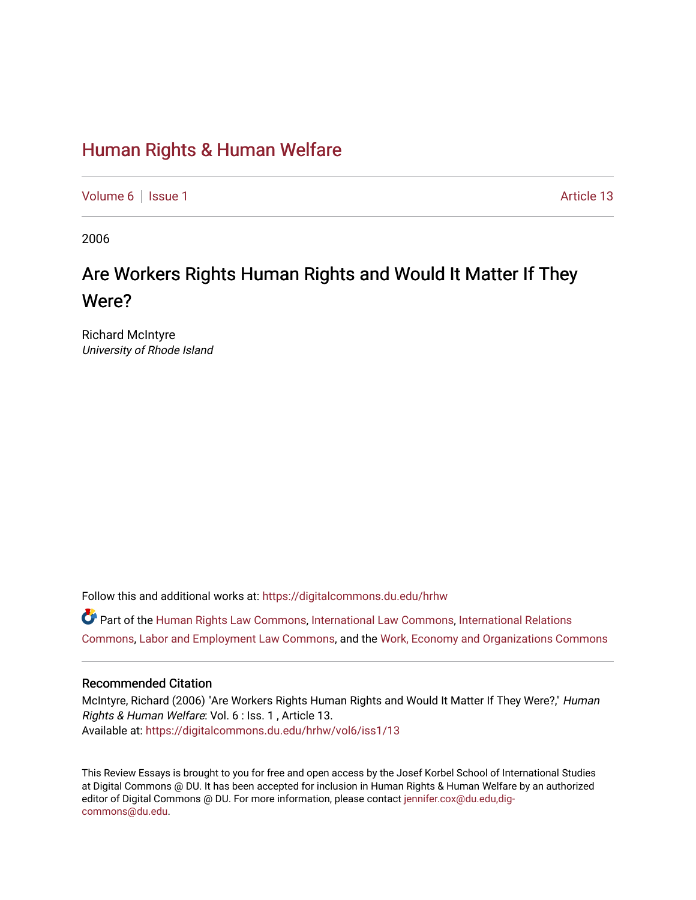### [Human Rights & Human Welfare](https://digitalcommons.du.edu/hrhw)

[Volume 6](https://digitalcommons.du.edu/hrhw/vol6) | [Issue 1](https://digitalcommons.du.edu/hrhw/vol6/iss1) Article 13

2006

## Are Workers Rights Human Rights and Would It Matter If They Were?

Richard McIntyre University of Rhode Island

Follow this and additional works at: [https://digitalcommons.du.edu/hrhw](https://digitalcommons.du.edu/hrhw?utm_source=digitalcommons.du.edu%2Fhrhw%2Fvol6%2Fiss1%2F13&utm_medium=PDF&utm_campaign=PDFCoverPages)

Part of the [Human Rights Law Commons,](http://network.bepress.com/hgg/discipline/847?utm_source=digitalcommons.du.edu%2Fhrhw%2Fvol6%2Fiss1%2F13&utm_medium=PDF&utm_campaign=PDFCoverPages) [International Law Commons](http://network.bepress.com/hgg/discipline/609?utm_source=digitalcommons.du.edu%2Fhrhw%2Fvol6%2Fiss1%2F13&utm_medium=PDF&utm_campaign=PDFCoverPages), [International Relations](http://network.bepress.com/hgg/discipline/389?utm_source=digitalcommons.du.edu%2Fhrhw%2Fvol6%2Fiss1%2F13&utm_medium=PDF&utm_campaign=PDFCoverPages)  [Commons](http://network.bepress.com/hgg/discipline/389?utm_source=digitalcommons.du.edu%2Fhrhw%2Fvol6%2Fiss1%2F13&utm_medium=PDF&utm_campaign=PDFCoverPages), [Labor and Employment Law Commons,](http://network.bepress.com/hgg/discipline/909?utm_source=digitalcommons.du.edu%2Fhrhw%2Fvol6%2Fiss1%2F13&utm_medium=PDF&utm_campaign=PDFCoverPages) and the [Work, Economy and Organizations Commons](http://network.bepress.com/hgg/discipline/433?utm_source=digitalcommons.du.edu%2Fhrhw%2Fvol6%2Fiss1%2F13&utm_medium=PDF&utm_campaign=PDFCoverPages) 

#### Recommended Citation

McIntyre, Richard (2006) "Are Workers Rights Human Rights and Would It Matter If They Were?," Human Rights & Human Welfare: Vol. 6 : Iss. 1 , Article 13. Available at: [https://digitalcommons.du.edu/hrhw/vol6/iss1/13](https://digitalcommons.du.edu/hrhw/vol6/iss1/13?utm_source=digitalcommons.du.edu%2Fhrhw%2Fvol6%2Fiss1%2F13&utm_medium=PDF&utm_campaign=PDFCoverPages) 

This Review Essays is brought to you for free and open access by the Josef Korbel School of International Studies at Digital Commons @ DU. It has been accepted for inclusion in Human Rights & Human Welfare by an authorized editor of Digital Commons @ DU. For more information, please contact [jennifer.cox@du.edu,dig](mailto:jennifer.cox@du.edu,dig-commons@du.edu)[commons@du.edu.](mailto:jennifer.cox@du.edu,dig-commons@du.edu)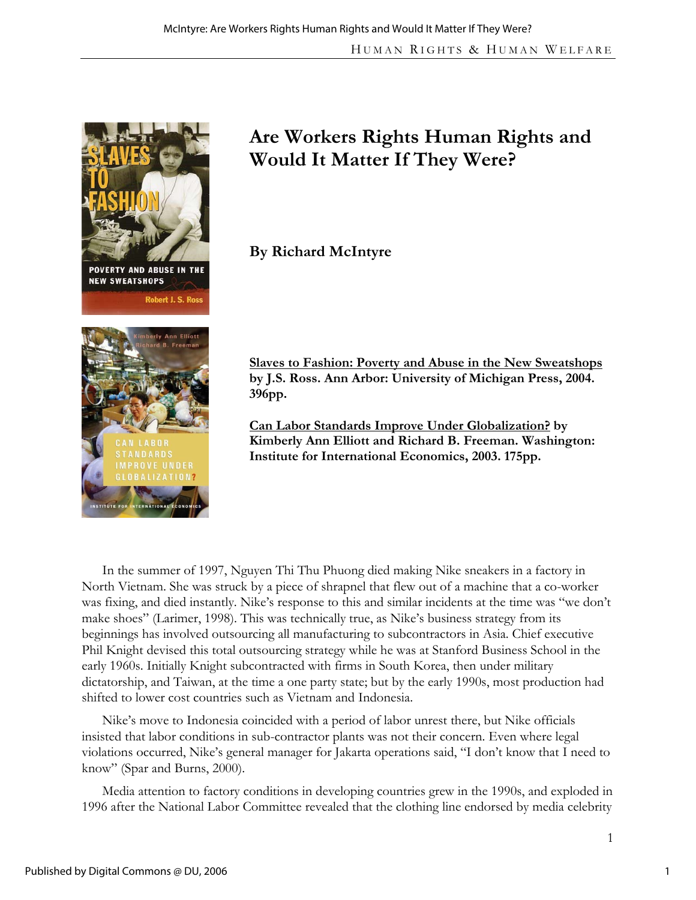

# **Are Workers Rights Human Rights and Would It Matter If They Were?**

**By Richard McIntyre** 

**Slaves to Fashion: Poverty and Abuse in the New Sweatshops by J.S. Ross. Ann Arbor: University of Michigan Press, 2004. 396pp.** 

**Can Labor Standards Improve Under Globalization? by Kimberly Ann Elliott and Richard B. Freeman. Washington: Institute for International Economics, 2003. 175pp.** 

In the summer of 1997, Nguyen Thi Thu Phuong died making Nike sneakers in a factory in North Vietnam. She was struck by a piece of shrapnel that flew out of a machine that a co-worker was fixing, and died instantly. Nike's response to this and similar incidents at the time was "we don't make shoes" (Larimer, 1998). This was technically true, as Nike's business strategy from its beginnings has involved outsourcing all manufacturing to subcontractors in Asia. Chief executive Phil Knight devised this total outsourcing strategy while he was at Stanford Business School in the early 1960s. Initially Knight subcontracted with firms in South Korea, then under military dictatorship, and Taiwan, at the time a one party state; but by the early 1990s, most production had shifted to lower cost countries such as Vietnam and Indonesia.

Nike's move to Indonesia coincided with a period of labor unrest there, but Nike officials insisted that labor conditions in sub-contractor plants was not their concern. Even where legal violations occurred, Nike's general manager for Jakarta operations said, "I don't know that I need to know" (Spar and Burns, 2000).

Media attention to factory conditions in developing countries grew in the 1990s, and exploded in 1996 after the National Labor Committee revealed that the clothing line endorsed by media celebrity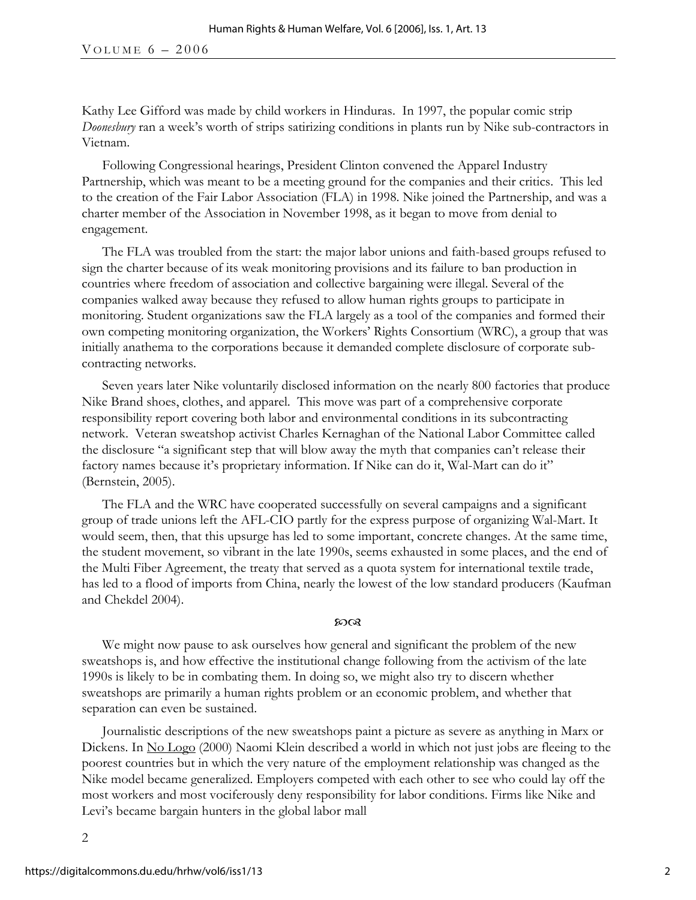Kathy Lee Gifford was made by child workers in Hinduras. In 1997, the popular comic strip *Doonesbury* ran a week's worth of strips satirizing conditions in plants run by Nike sub-contractors in Vietnam.

Following Congressional hearings, President Clinton convened the Apparel Industry Partnership, which was meant to be a meeting ground for the companies and their critics. This led to the creation of the Fair Labor Association (FLA) in 1998. Nike joined the Partnership, and was a charter member of the Association in November 1998, as it began to move from denial to engagement.

The FLA was troubled from the start: the major labor unions and faith-based groups refused to sign the charter because of its weak monitoring provisions and its failure to ban production in countries where freedom of association and collective bargaining were illegal. Several of the companies walked away because they refused to allow human rights groups to participate in monitoring. Student organizations saw the FLA largely as a tool of the companies and formed their own competing monitoring organization, the Workers' Rights Consortium (WRC), a group that was initially anathema to the corporations because it demanded complete disclosure of corporate subcontracting networks.

Seven years later Nike voluntarily disclosed information on the nearly 800 factories that produce Nike Brand shoes, clothes, and apparel. This move was part of a comprehensive corporate responsibility report covering both labor and environmental conditions in its subcontracting network. Veteran sweatshop activist Charles Kernaghan of the National Labor Committee called the disclosure "a significant step that will blow away the myth that companies can't release their factory names because it's proprietary information. If Nike can do it, Wal-Mart can do it" (Bernstein, 2005).

The FLA and the WRC have cooperated successfully on several campaigns and a significant group of trade unions left the AFL-CIO partly for the express purpose of organizing Wal-Mart. It would seem, then, that this upsurge has led to some important, concrete changes. At the same time, the student movement, so vibrant in the late 1990s, seems exhausted in some places, and the end of the Multi Fiber Agreement, the treaty that served as a quota system for international textile trade, has led to a flood of imports from China, nearly the lowest of the low standard producers (Kaufman and Chekdel 2004).

#### മാരു

We might now pause to ask ourselves how general and significant the problem of the new sweatshops is, and how effective the institutional change following from the activism of the late 1990s is likely to be in combating them. In doing so, we might also try to discern whether sweatshops are primarily a human rights problem or an economic problem, and whether that separation can even be sustained.

Journalistic descriptions of the new sweatshops paint a picture as severe as anything in Marx or Dickens. In <u>No Logo</u> (2000) Naomi Klein described a world in which not just jobs are fleeing to the poorest countries but in which the very nature of the employment relationship was changed as the Nike model became generalized. Employers competed with each other to see who could lay off the most workers and most vociferously deny responsibility for labor conditions. Firms like Nike and Levi's became bargain hunters in the global labor mall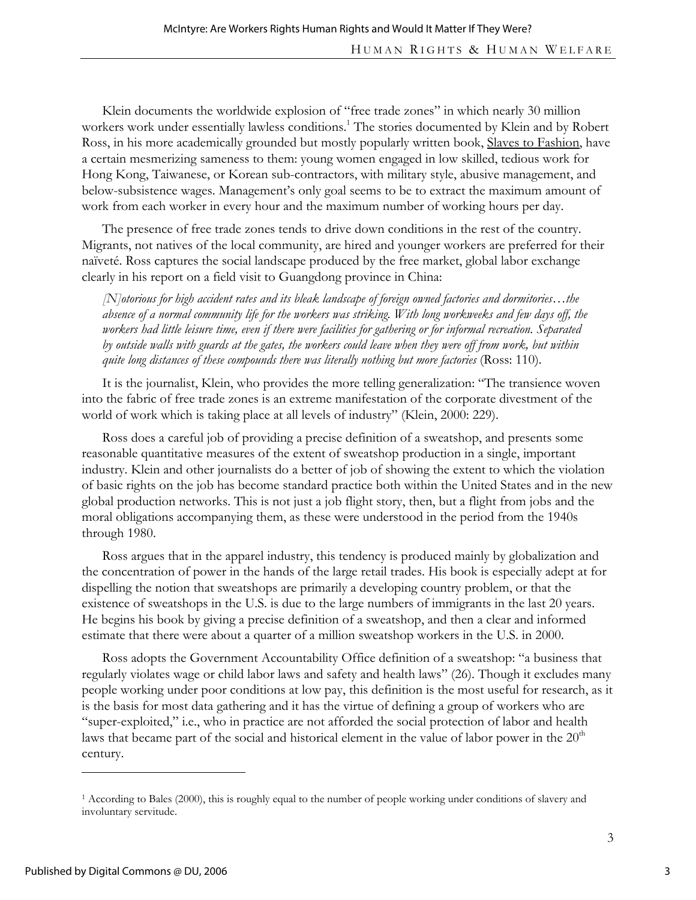Klein documents the worldwide explosion of "free trade zones" in which nearly 30 million workers work under essentially lawless conditions.<sup>1</sup> The stories documented by Klein and by Robert Ross, in his more academically grounded but mostly popularly written book, Slaves to Fashion, have a certain mesmerizing sameness to them: young women engaged in low skilled, tedious work for Hong Kong, Taiwanese, or Korean sub-contractors, with military style, abusive management, and below-subsistence wages. Management's only goal seems to be to extract the maximum amount of work from each worker in every hour and the maximum number of working hours per day.

The presence of free trade zones tends to drive down conditions in the rest of the country. Migrants, not natives of the local community, are hired and younger workers are preferred for their naïveté. Ross captures the social landscape produced by the free market, global labor exchange clearly in his report on a field visit to Guangdong province in China:

*[N]otorious for high accident rates and its bleak landscape of foreign owned factories and dormitories…the absence of a normal community life for the workers was striking. With long workweeks and few days off, the workers had little leisure time, even if there were facilities for gathering or for informal recreation. Separated by outside walls with guards at the gates, the workers could leave when they were off from work, but within quite long distances of these compounds there was literally nothing but more factories* (Ross: 110).

It is the journalist, Klein, who provides the more telling generalization: "The transience woven into the fabric of free trade zones is an extreme manifestation of the corporate divestment of the world of work which is taking place at all levels of industry" (Klein, 2000: 229).

Ross does a careful job of providing a precise definition of a sweatshop, and presents some reasonable quantitative measures of the extent of sweatshop production in a single, important industry. Klein and other journalists do a better of job of showing the extent to which the violation of basic rights on the job has become standard practice both within the United States and in the new global production networks. This is not just a job flight story, then, but a flight from jobs and the moral obligations accompanying them, as these were understood in the period from the 1940s through 1980.

Ross argues that in the apparel industry, this tendency is produced mainly by globalization and the concentration of power in the hands of the large retail trades. His book is especially adept at for dispelling the notion that sweatshops are primarily a developing country problem, or that the existence of sweatshops in the U.S. is due to the large numbers of immigrants in the last 20 years. He begins his book by giving a precise definition of a sweatshop, and then a clear and informed estimate that there were about a quarter of a million sweatshop workers in the U.S. in 2000.

Ross adopts the Government Accountability Office definition of a sweatshop: "a business that regularly violates wage or child labor laws and safety and health laws" (26). Though it excludes many people working under poor conditions at low pay, this definition is the most useful for research, as it is the basis for most data gathering and it has the virtue of defining a group of workers who are "super-exploited," i.e., who in practice are not afforded the social protection of labor and health laws that became part of the social and historical element in the value of labor power in the  $20<sup>th</sup>$ century.

-

<sup>&</sup>lt;sup>1</sup> According to Bales (2000), this is roughly equal to the number of people working under conditions of slavery and involuntary servitude.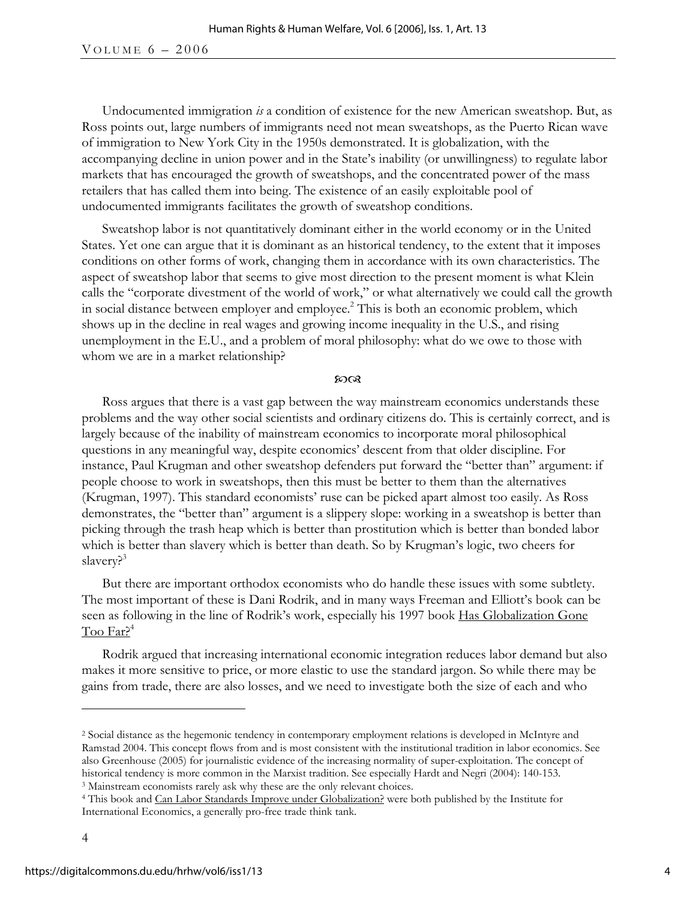Undocumented immigration *is* a condition of existence for the new American sweatshop. But, as Ross points out, large numbers of immigrants need not mean sweatshops, as the Puerto Rican wave of immigration to New York City in the 1950s demonstrated. It is globalization, with the accompanying decline in union power and in the State's inability (or unwillingness) to regulate labor markets that has encouraged the growth of sweatshops, and the concentrated power of the mass retailers that has called them into being. The existence of an easily exploitable pool of undocumented immigrants facilitates the growth of sweatshop conditions.

Sweatshop labor is not quantitatively dominant either in the world economy or in the United States. Yet one can argue that it is dominant as an historical tendency, to the extent that it imposes conditions on other forms of work, changing them in accordance with its own characteristics. The aspect of sweatshop labor that seems to give most direction to the present moment is what Klein calls the "corporate divestment of the world of work," or what alternatively we could call the growth in social distance between employer and employee.<sup>2</sup> This is both an economic problem, which shows up in the decline in real wages and growing income inequality in the U.S., and rising unemployment in the E.U., and a problem of moral philosophy: what do we owe to those with whom we are in a market relationship?

#### $20Q$

Ross argues that there is a vast gap between the way mainstream economics understands these problems and the way other social scientists and ordinary citizens do. This is certainly correct, and is largely because of the inability of mainstream economics to incorporate moral philosophical questions in any meaningful way, despite economics' descent from that older discipline. For instance, Paul Krugman and other sweatshop defenders put forward the "better than" argument: if people choose to work in sweatshops, then this must be better to them than the alternatives (Krugman, 1997). This standard economists' ruse can be picked apart almost too easily. As Ross demonstrates, the "better than" argument is a slippery slope: working in a sweatshop is better than picking through the trash heap which is better than prostitution which is better than bonded labor which is better than slavery which is better than death. So by Krugman's logic, two cheers for slavery?<sup>3</sup>

But there are important orthodox economists who do handle these issues with some subtlety. The most important of these is Dani Rodrik, and in many ways Freeman and Elliott's book can be seen as following in the line of Rodrik's work, especially his 1997 book Has Globalization Gone Too Far?<sup>4</sup>

Rodrik argued that increasing international economic integration reduces labor demand but also makes it more sensitive to price, or more elastic to use the standard jargon. So while there may be gains from trade, there are also losses, and we need to investigate both the size of each and who

 $\overline{a}$ 

<sup>2</sup> Social distance as the hegemonic tendency in contemporary employment relations is developed in McIntyre and Ramstad 2004. This concept flows from and is most consistent with the institutional tradition in labor economics. See also Greenhouse (2005) for journalistic evidence of the increasing normality of super-exploitation. The concept of historical tendency is more common in the Marxist tradition. See especially Hardt and Negri (2004): 140-153.<br><sup>3</sup> Mainstream economists rarely ask why these are the only relevant choices.<br><sup>4</sup> This book and <u>Can Labor Standa</u>

International Economics, a generally pro-free trade think tank.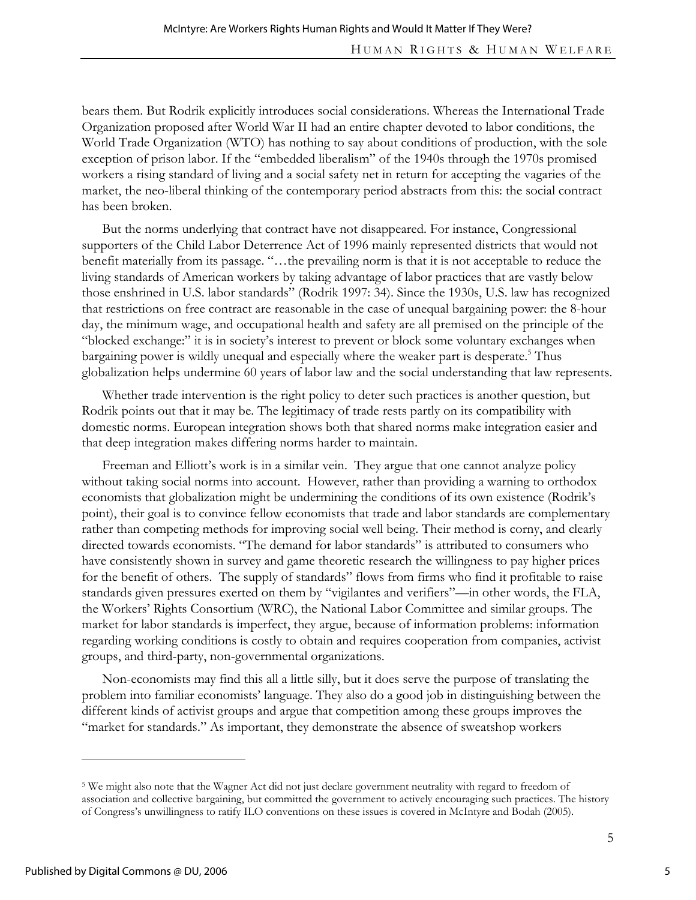bears them. But Rodrik explicitly introduces social considerations. Whereas the International Trade Organization proposed after World War II had an entire chapter devoted to labor conditions, the World Trade Organization (WTO) has nothing to say about conditions of production, with the sole exception of prison labor. If the "embedded liberalism" of the 1940s through the 1970s promised workers a rising standard of living and a social safety net in return for accepting the vagaries of the market, the neo-liberal thinking of the contemporary period abstracts from this: the social contract has been broken.

But the norms underlying that contract have not disappeared. For instance, Congressional supporters of the Child Labor Deterrence Act of 1996 mainly represented districts that would not benefit materially from its passage. "…the prevailing norm is that it is not acceptable to reduce the living standards of American workers by taking advantage of labor practices that are vastly below those enshrined in U.S. labor standards" (Rodrik 1997: 34). Since the 1930s, U.S. law has recognized that restrictions on free contract are reasonable in the case of unequal bargaining power: the 8-hour day, the minimum wage, and occupational health and safety are all premised on the principle of the "blocked exchange:" it is in society's interest to prevent or block some voluntary exchanges when bargaining power is wildly unequal and especially where the weaker part is desperate.<sup>5</sup> Thus globalization helps undermine 60 years of labor law and the social understanding that law represents.

Whether trade intervention is the right policy to deter such practices is another question, but Rodrik points out that it may be. The legitimacy of trade rests partly on its compatibility with domestic norms. European integration shows both that shared norms make integration easier and that deep integration makes differing norms harder to maintain.

Freeman and Elliott's work is in a similar vein. They argue that one cannot analyze policy without taking social norms into account. However, rather than providing a warning to orthodox economists that globalization might be undermining the conditions of its own existence (Rodrik's point), their goal is to convince fellow economists that trade and labor standards are complementary rather than competing methods for improving social well being. Their method is corny, and clearly directed towards economists. "The demand for labor standards" is attributed to consumers who have consistently shown in survey and game theoretic research the willingness to pay higher prices for the benefit of others. The supply of standards" flows from firms who find it profitable to raise standards given pressures exerted on them by "vigilantes and verifiers"—in other words, the FLA, the Workers' Rights Consortium (WRC), the National Labor Committee and similar groups. The market for labor standards is imperfect, they argue, because of information problems: information regarding working conditions is costly to obtain and requires cooperation from companies, activist groups, and third-party, non-governmental organizations.

Non-economists may find this all a little silly, but it does serve the purpose of translating the problem into familiar economists' language. They also do a good job in distinguishing between the different kinds of activist groups and argue that competition among these groups improves the "market for standards." As important, they demonstrate the absence of sweatshop workers

 $\overline{a}$ 

5

<sup>5</sup> We might also note that the Wagner Act did not just declare government neutrality with regard to freedom of association and collective bargaining, but committed the government to actively encouraging such practices. The history of Congress's unwillingness to ratify ILO conventions on these issues is covered in McIntyre and Bodah (2005).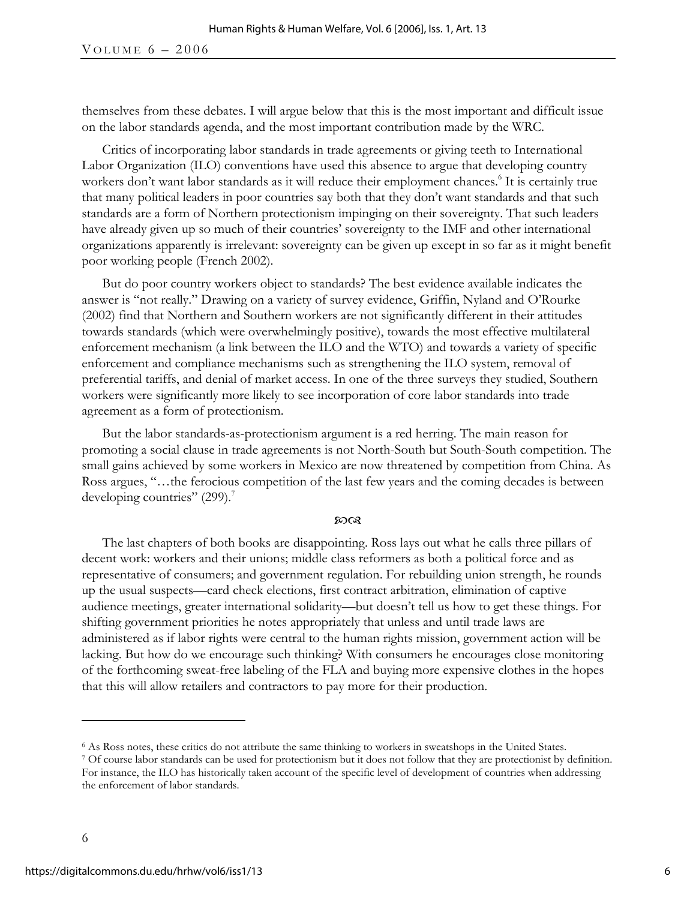themselves from these debates. I will argue below that this is the most important and difficult issue on the labor standards agenda, and the most important contribution made by the WRC.

Critics of incorporating labor standards in trade agreements or giving teeth to International Labor Organization (ILO) conventions have used this absence to argue that developing country workers don't want labor standards as it will reduce their employment chances.<sup>6</sup> It is certainly true that many political leaders in poor countries say both that they don't want standards and that such standards are a form of Northern protectionism impinging on their sovereignty. That such leaders have already given up so much of their countries' sovereignty to the IMF and other international organizations apparently is irrelevant: sovereignty can be given up except in so far as it might benefit poor working people (French 2002).

But do poor country workers object to standards? The best evidence available indicates the answer is "not really." Drawing on a variety of survey evidence, Griffin, Nyland and O'Rourke (2002) find that Northern and Southern workers are not significantly different in their attitudes towards standards (which were overwhelmingly positive), towards the most effective multilateral enforcement mechanism (a link between the ILO and the WTO) and towards a variety of specific enforcement and compliance mechanisms such as strengthening the ILO system, removal of preferential tariffs, and denial of market access. In one of the three surveys they studied, Southern workers were significantly more likely to see incorporation of core labor standards into trade agreement as a form of protectionism.

But the labor standards-as-protectionism argument is a red herring. The main reason for promoting a social clause in trade agreements is not North-South but South-South competition. The small gains achieved by some workers in Mexico are now threatened by competition from China. As Ross argues, "…the ferocious competition of the last few years and the coming decades is between developing countries"  $(299)$ .<sup>7</sup>

#### മായ

The last chapters of both books are disappointing. Ross lays out what he calls three pillars of decent work: workers and their unions; middle class reformers as both a political force and as representative of consumers; and government regulation. For rebuilding union strength, he rounds up the usual suspects—card check elections, first contract arbitration, elimination of captive audience meetings, greater international solidarity—but doesn't tell us how to get these things. For shifting government priorities he notes appropriately that unless and until trade laws are administered as if labor rights were central to the human rights mission, government action will be lacking. But how do we encourage such thinking? With consumers he encourages close monitoring of the forthcoming sweat-free labeling of the FLA and buying more expensive clothes in the hopes that this will allow retailers and contractors to pay more for their production.

 $\overline{a}$ 

 $\delta$  As Ross notes, these critics do not attribute the same thinking to workers in sweatshops in the United States.<br>
<sup>7</sup> Of course labor standards can be used for protectionism but it does not follow that they are protect

For instance, the ILO has historically taken account of the specific level of development of countries when addressing the enforcement of labor standards.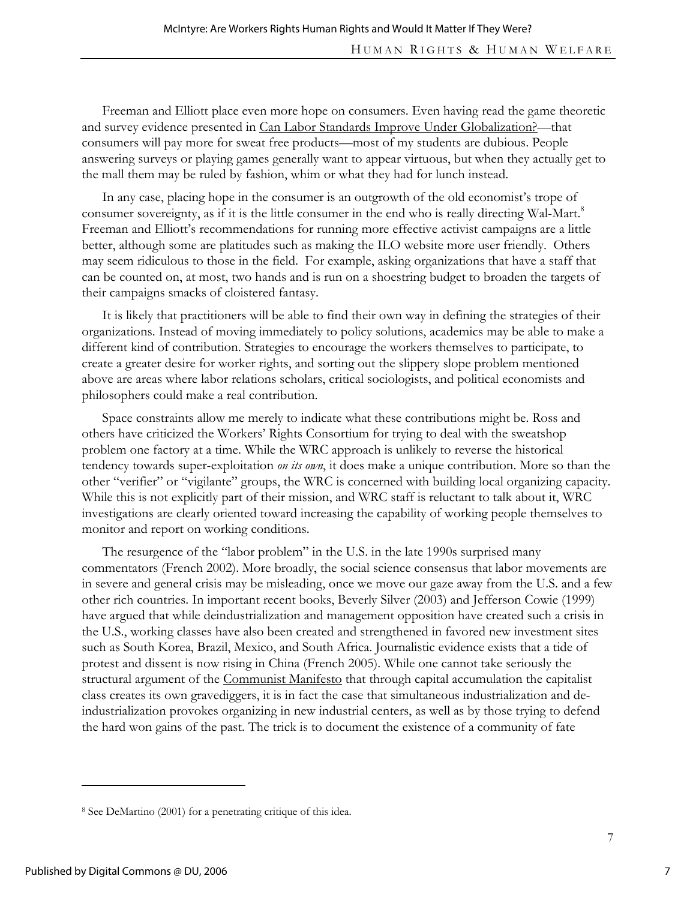Freeman and Elliott place even more hope on consumers. Even having read the game theoretic and survey evidence presented in Can Labor Standards Improve Under Globalization?—that consumers will pay more for sweat free products—most of my students are dubious. People answering surveys or playing games generally want to appear virtuous, but when they actually get to the mall them may be ruled by fashion, whim or what they had for lunch instead.

In any case, placing hope in the consumer is an outgrowth of the old economist's trope of consumer sovereignty, as if it is the little consumer in the end who is really directing Wal-Mart.<sup>8</sup> Freeman and Elliott's recommendations for running more effective activist campaigns are a little better, although some are platitudes such as making the ILO website more user friendly. Others may seem ridiculous to those in the field. For example, asking organizations that have a staff that can be counted on, at most, two hands and is run on a shoestring budget to broaden the targets of their campaigns smacks of cloistered fantasy.

It is likely that practitioners will be able to find their own way in defining the strategies of their organizations. Instead of moving immediately to policy solutions, academics may be able to make a different kind of contribution. Strategies to encourage the workers themselves to participate, to create a greater desire for worker rights, and sorting out the slippery slope problem mentioned above are areas where labor relations scholars, critical sociologists, and political economists and philosophers could make a real contribution.

Space constraints allow me merely to indicate what these contributions might be. Ross and others have criticized the Workers' Rights Consortium for trying to deal with the sweatshop problem one factory at a time. While the WRC approach is unlikely to reverse the historical tendency towards super-exploitation *on its own*, it does make a unique contribution. More so than the other "verifier" or "vigilante" groups, the WRC is concerned with building local organizing capacity. While this is not explicitly part of their mission, and WRC staff is reluctant to talk about it, WRC investigations are clearly oriented toward increasing the capability of working people themselves to monitor and report on working conditions.

The resurgence of the "labor problem" in the U.S. in the late 1990s surprised many commentators (French 2002). More broadly, the social science consensus that labor movements are in severe and general crisis may be misleading, once we move our gaze away from the U.S. and a few other rich countries. In important recent books, Beverly Silver (2003) and Jefferson Cowie (1999) have argued that while deindustrialization and management opposition have created such a crisis in the U.S., working classes have also been created and strengthened in favored new investment sites such as South Korea, Brazil, Mexico, and South Africa. Journalistic evidence exists that a tide of protest and dissent is now rising in China (French 2005). While one cannot take seriously the structural argument of the Communist Manifesto that through capital accumulation the capitalist class creates its own gravediggers, it is in fact the case that simultaneous industrialization and deindustrialization provokes organizing in new industrial centers, as well as by those trying to defend the hard won gains of the past. The trick is to document the existence of a community of fate

 $\overline{a}$ 

<sup>8</sup> See DeMartino (2001) for a penetrating critique of this idea.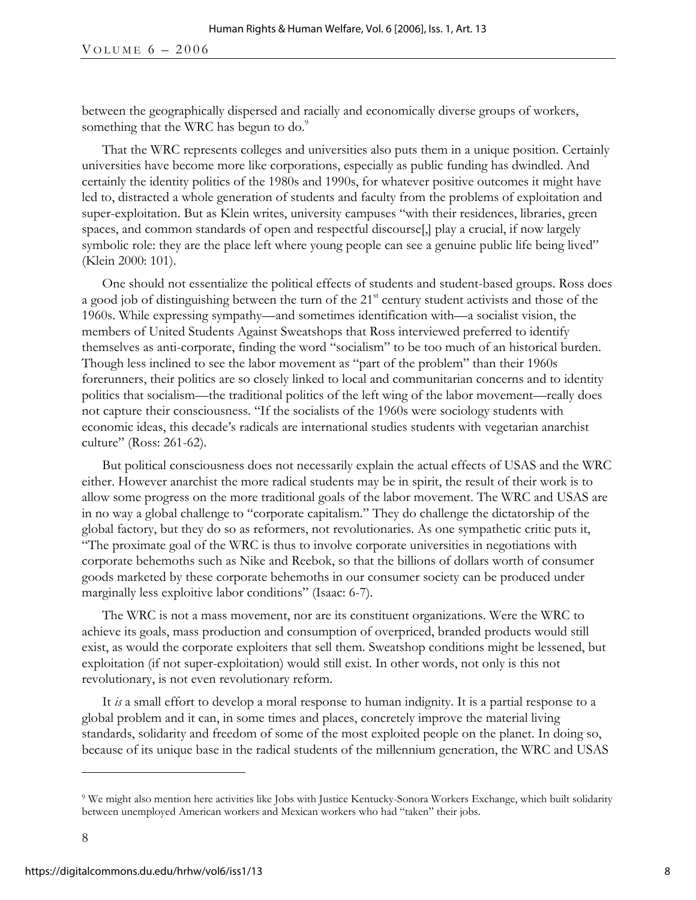between the geographically dispersed and racially and economically diverse groups of workers, something that the WRC has begun to do.<sup>9</sup>

That the WRC represents colleges and universities also puts them in a unique position. Certainly universities have become more like corporations, especially as public funding has dwindled. And certainly the identity politics of the 1980s and 1990s, for whatever positive outcomes it might have led to, distracted a whole generation of students and faculty from the problems of exploitation and super-exploitation. But as Klein writes, university campuses "with their residences, libraries, green spaces, and common standards of open and respectful discourse,  $\alpha$  a crucial, if now largely symbolic role: they are the place left where young people can see a genuine public life being lived" (Klein 2000: 101).

One should not essentialize the political effects of students and student-based groups. Ross does a good job of distinguishing between the turn of the 21<sup>st</sup> century student activists and those of the 1960s. While expressing sympathy—and sometimes identification with—a socialist vision, the members of United Students Against Sweatshops that Ross interviewed preferred to identify themselves as anti-corporate, finding the word "socialism" to be too much of an historical burden. Though less inclined to see the labor movement as "part of the problem" than their 1960s forerunners, their politics are so closely linked to local and communitarian concerns and to identity politics that socialism—the traditional politics of the left wing of the labor movement—really does not capture their consciousness. "If the socialists of the 1960s were sociology students with economic ideas, this decade's radicals are international studies students with vegetarian anarchist culture" (Ross: 261-62).

But political consciousness does not necessarily explain the actual effects of USAS and the WRC either. However anarchist the more radical students may be in spirit, the result of their work is to allow some progress on the more traditional goals of the labor movement. The WRC and USAS are in no way a global challenge to "corporate capitalism." They do challenge the dictatorship of the global factory, but they do so as reformers, not revolutionaries. As one sympathetic critic puts it, "The proximate goal of the WRC is thus to involve corporate universities in negotiations with corporate behemoths such as Nike and Reebok, so that the billions of dollars worth of consumer goods marketed by these corporate behemoths in our consumer society can be produced under marginally less exploitive labor conditions" (Isaac: 6-7).

The WRC is not a mass movement, nor are its constituent organizations. Were the WRC to achieve its goals, mass production and consumption of overpriced, branded products would still exist, as would the corporate exploiters that sell them. Sweatshop conditions might be lessened, but exploitation (if not super-exploitation) would still exist. In other words, not only is this not revolutionary, is not even revolutionary reform.

It *is* a small effort to develop a moral response to human indignity. It is a partial response to a global problem and it can, in some times and places, concretely improve the material living standards, solidarity and freedom of some of the most exploited people on the planet. In doing so, because of its unique base in the radical students of the millennium generation, the WRC and USAS

 $\overline{a}$ 

<sup>9</sup> We might also mention here activities like Jobs with Justice Kentucky-Sonora Workers Exchange, which built solidarity between unemployed American workers and Mexican workers who had "taken" their jobs.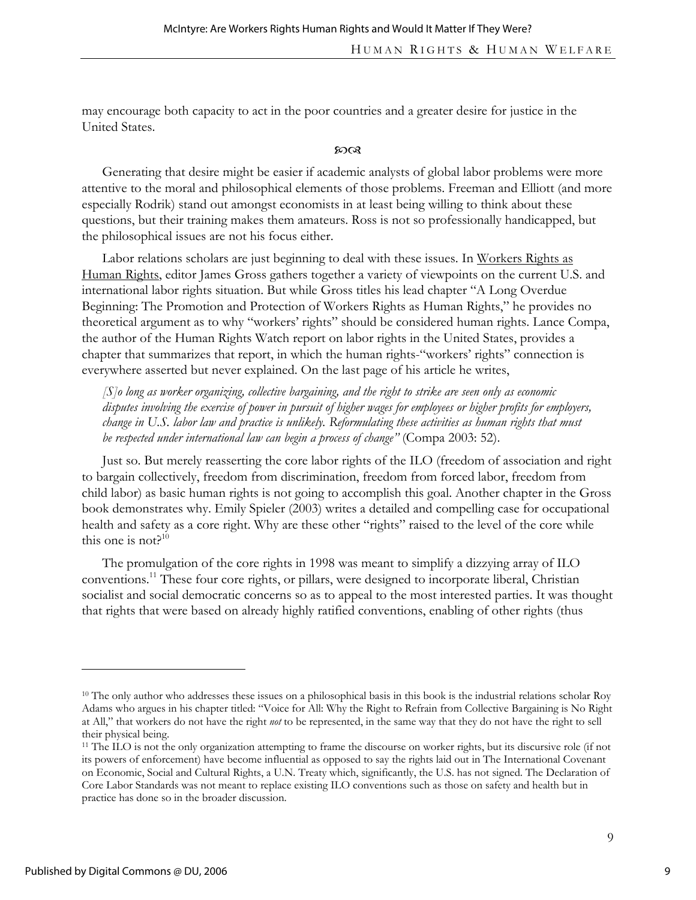may encourage both capacity to act in the poor countries and a greater desire for justice in the United States.

#### $20Q$

Generating that desire might be easier if academic analysts of global labor problems were more attentive to the moral and philosophical elements of those problems. Freeman and Elliott (and more especially Rodrik) stand out amongst economists in at least being willing to think about these questions, but their training makes them amateurs. Ross is not so professionally handicapped, but the philosophical issues are not his focus either.

Labor relations scholars are just beginning to deal with these issues. In Workers Rights as Human Rights, editor James Gross gathers together a variety of viewpoints on the current U.S. and international labor rights situation. But while Gross titles his lead chapter "A Long Overdue Beginning: The Promotion and Protection of Workers Rights as Human Rights," he provides no theoretical argument as to why "workers' rights" should be considered human rights. Lance Compa, the author of the Human Rights Watch report on labor rights in the United States, provides a chapter that summarizes that report, in which the human rights-"workers' rights" connection is everywhere asserted but never explained. On the last page of his article he writes,

*[S]o long as worker organizing, collective bargaining, and the right to strike are seen only as economic disputes involving the exercise of power in pursuit of higher wages for employees or higher profits for employers, change in U.S. labor law and practice is unlikely. Reformulating these activities as human rights that must be respected under international law can begin a process of change"* (Compa 2003: 52).

Just so. But merely reasserting the core labor rights of the ILO (freedom of association and right to bargain collectively, freedom from discrimination, freedom from forced labor, freedom from child labor) as basic human rights is not going to accomplish this goal. Another chapter in the Gross book demonstrates why. Emily Spieler (2003) writes a detailed and compelling case for occupational health and safety as a core right. Why are these other "rights" raised to the level of the core while this one is not? $10$ 

The promulgation of the core rights in 1998 was meant to simplify a dizzying array of ILO conventions.11 These four core rights, or pillars, were designed to incorporate liberal, Christian socialist and social democratic concerns so as to appeal to the most interested parties. It was thought that rights that were based on already highly ratified conventions, enabling of other rights (thus

 $\overline{a}$ 

9

<sup>&</sup>lt;sup>10</sup> The only author who addresses these issues on a philosophical basis in this book is the industrial relations scholar Roy Adams who argues in his chapter titled: "Voice for All: Why the Right to Refrain from Collective Bargaining is No Right at All," that workers do not have the right *not* to be represented, in the same way that they do not have the right to sell their physical being.

<sup>11</sup> The ILO is not the only organization attempting to frame the discourse on worker rights, but its discursive role (if not its powers of enforcement) have become influential as opposed to say the rights laid out in The International Covenant on Economic, Social and Cultural Rights, a U.N. Treaty which, significantly, the U.S. has not signed. The Declaration of Core Labor Standards was not meant to replace existing ILO conventions such as those on safety and health but in practice has done so in the broader discussion.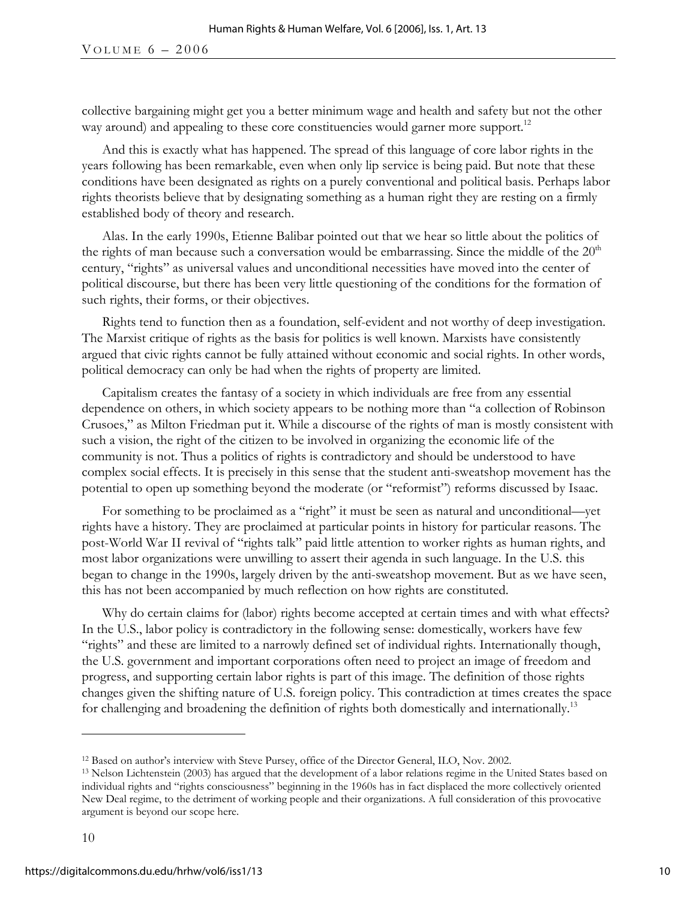collective bargaining might get you a better minimum wage and health and safety but not the other way around) and appealing to these core constituencies would garner more support.<sup>12</sup>

And this is exactly what has happened. The spread of this language of core labor rights in the years following has been remarkable, even when only lip service is being paid. But note that these conditions have been designated as rights on a purely conventional and political basis. Perhaps labor rights theorists believe that by designating something as a human right they are resting on a firmly established body of theory and research.

Alas. In the early 1990s, Etienne Balibar pointed out that we hear so little about the politics of the rights of man because such a conversation would be embarrassing. Since the middle of the  $20<sup>th</sup>$ century, "rights" as universal values and unconditional necessities have moved into the center of political discourse, but there has been very little questioning of the conditions for the formation of such rights, their forms, or their objectives.

Rights tend to function then as a foundation, self-evident and not worthy of deep investigation. The Marxist critique of rights as the basis for politics is well known. Marxists have consistently argued that civic rights cannot be fully attained without economic and social rights. In other words, political democracy can only be had when the rights of property are limited.

Capitalism creates the fantasy of a society in which individuals are free from any essential dependence on others, in which society appears to be nothing more than "a collection of Robinson Crusoes," as Milton Friedman put it. While a discourse of the rights of man is mostly consistent with such a vision, the right of the citizen to be involved in organizing the economic life of the community is not. Thus a politics of rights is contradictory and should be understood to have complex social effects. It is precisely in this sense that the student anti-sweatshop movement has the potential to open up something beyond the moderate (or "reformist") reforms discussed by Isaac.

For something to be proclaimed as a "right" it must be seen as natural and unconditional—yet rights have a history. They are proclaimed at particular points in history for particular reasons. The post-World War II revival of "rights talk" paid little attention to worker rights as human rights, and most labor organizations were unwilling to assert their agenda in such language. In the U.S. this began to change in the 1990s, largely driven by the anti-sweatshop movement. But as we have seen, this has not been accompanied by much reflection on how rights are constituted.

Why do certain claims for (labor) rights become accepted at certain times and with what effects? In the U.S., labor policy is contradictory in the following sense: domestically, workers have few "rights" and these are limited to a narrowly defined set of individual rights. Internationally though, the U.S. government and important corporations often need to project an image of freedom and progress, and supporting certain labor rights is part of this image. The definition of those rights changes given the shifting nature of U.S. foreign policy. This contradiction at times creates the space for challenging and broadening the definition of rights both domestically and internationally.<sup>13</sup>

-

<sup>&</sup>lt;sup>12</sup> Based on author's interview with Steve Pursey, office of the Director General, ILO, Nov. 2002.<br><sup>13</sup> Nelson Lichtenstein (2003) has argued that the development of a labor relations regime in the United States based on individual rights and "rights consciousness" beginning in the 1960s has in fact displaced the more collectively oriented New Deal regime, to the detriment of working people and their organizations. A full consideration of this provocative argument is beyond our scope here.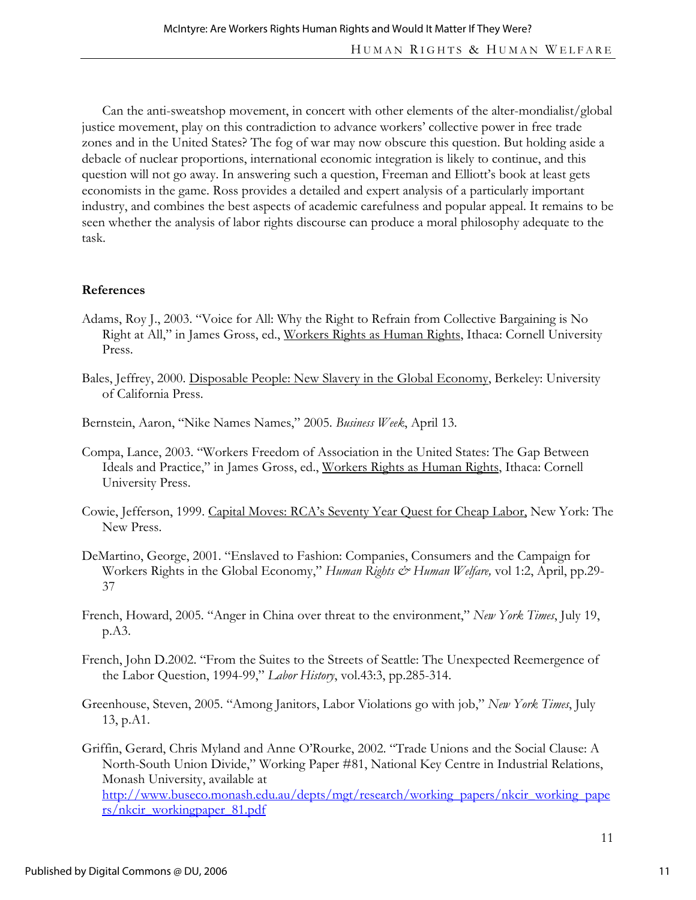Can the anti-sweatshop movement, in concert with other elements of the alter-mondialist/global justice movement, play on this contradiction to advance workers' collective power in free trade zones and in the United States? The fog of war may now obscure this question. But holding aside a debacle of nuclear proportions, international economic integration is likely to continue, and this question will not go away. In answering such a question, Freeman and Elliott's book at least gets economists in the game. Ross provides a detailed and expert analysis of a particularly important industry, and combines the best aspects of academic carefulness and popular appeal. It remains to be seen whether the analysis of labor rights discourse can produce a moral philosophy adequate to the task.

### **References**

- Adams, Roy J., 2003. "Voice for All: Why the Right to Refrain from Collective Bargaining is No Right at All," in James Gross, ed., Workers Rights as Human Rights, Ithaca: Cornell University Press.
- Bales, Jeffrey, 2000. Disposable People: New Slavery in the Global Economy, Berkeley: University of California Press.
- Bernstein, Aaron, "Nike Names Names," 2005. *Business Week*, April 13.
- Compa, Lance, 2003. "Workers Freedom of Association in the United States: The Gap Between Ideals and Practice," in James Gross, ed., Workers Rights as Human Rights, Ithaca: Cornell University Press.
- Cowie, Jefferson, 1999. Capital Moves: RCA's Seventy Year Quest for Cheap Labor, New York: The New Press.
- DeMartino, George, 2001. "Enslaved to Fashion: Companies, Consumers and the Campaign for Workers Rights in the Global Economy," *Human Rights & Human Welfare*, vol 1:2, April, pp.29-37
- French, Howard, 2005. "Anger in China over threat to the environment," *New York Times*, July 19, p.A3.
- French, John D.2002. "From the Suites to the Streets of Seattle: The Unexpected Reemergence of the Labor Question, 1994-99," *Labor History*, vol.43:3, pp.285-314.
- Greenhouse, Steven, 2005. "Among Janitors, Labor Violations go with job," *New York Times*, July 13, p.A1.
- Griffin, Gerard, Chris Myland and Anne O'Rourke, 2002. "Trade Unions and the Social Clause: A North-South Union Divide," Working Paper #81, National Key Centre in Industrial Relations, Monash University, available at http://www.buseco.monash.edu.au/depts/mgt/research/working\_papers/nkcir\_working\_pape rs/nkcir\_workingpaper\_81.pdf